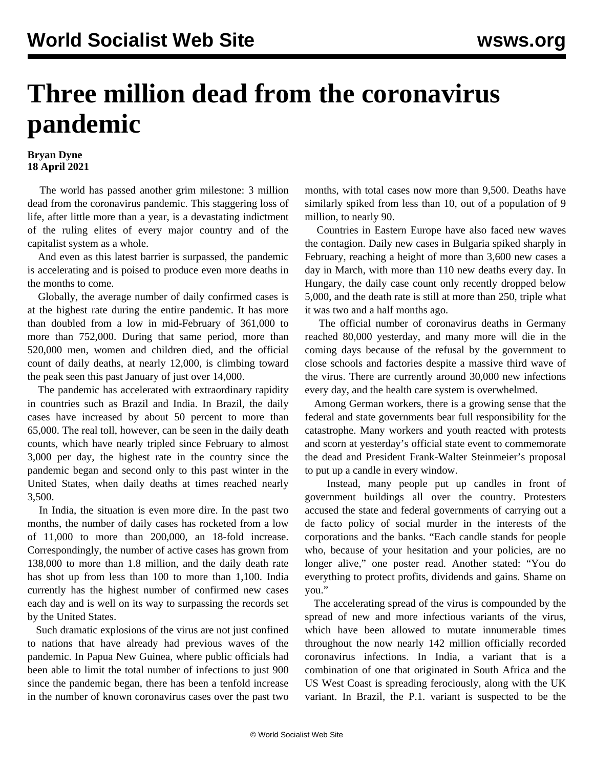## **Three million dead from the coronavirus pandemic**

## **Bryan Dyne 18 April 2021**

 The world has passed another grim milestone: 3 million dead from the coronavirus pandemic. This staggering loss of life, after little more than a year, is a devastating indictment of the ruling elites of every major country and of the capitalist system as a whole.

 And even as this latest barrier is surpassed, the pandemic is accelerating and is poised to produce even more deaths in the months to come.

 Globally, the average number of daily confirmed cases is at the highest rate during the entire pandemic. It has more than doubled from a low in mid-February of 361,000 to more than 752,000. During that same period, more than 520,000 men, women and children died, and the official count of daily deaths, at nearly 12,000, is climbing toward the peak seen this past January of just over 14,000.

 The pandemic has accelerated with extraordinary rapidity in countries such as Brazil and India. In Brazil, the daily cases have increased by about 50 percent to more than 65,000. The real toll, however, can be seen in the daily death counts, which have nearly tripled since February to almost 3,000 per day, the highest rate in the country since the pandemic began and second only to this past winter in the United States, when daily deaths at times reached nearly 3,500.

 In India, the situation is even more dire. In the past two months, the number of daily cases has rocketed from a low of 11,000 to more than 200,000, an 18-fold increase. Correspondingly, the number of active cases has grown from 138,000 to more than 1.8 million, and the daily death rate has shot up from less than 100 to more than 1,100. India currently has the highest number of confirmed new cases each day and is well on its way to surpassing the records set by the United States.

 Such dramatic explosions of the virus are not just confined to nations that have already had previous waves of the pandemic. In Papua New Guinea, where public officials had been able to limit the total number of infections to just 900 since the pandemic began, there has been a tenfold increase in the number of known coronavirus cases over the past two months, with total cases now more than 9,500. Deaths have similarly spiked from less than 10, out of a population of 9 million, to nearly 90.

 Countries in Eastern Europe have also faced new waves the contagion. Daily new cases in Bulgaria spiked sharply in February, reaching a height of more than 3,600 new cases a day in March, with more than 110 new deaths every day. In Hungary, the daily case count only recently dropped below 5,000, and the death rate is still at more than 250, triple what it was two and a half months ago.

 The official number of coronavirus deaths in Germany reached 80,000 yesterday, and many more will die in the coming days because of the refusal by the government to close schools and factories despite a massive third wave of the virus. There are currently around 30,000 new infections every day, and the health care system is overwhelmed.

 Among German workers, there is a growing sense that the federal and state governments bear full responsibility for the catastrophe. Many workers and youth reacted with protests and scorn at yesterday's official state event to commemorate the dead and President Frank-Walter Steinmeier's proposal to put up a candle in every window.

 Instead, many people put up candles in front of government buildings all over the country. Protesters accused the state and federal governments of carrying out a de facto policy of social murder in the interests of the corporations and the banks. "Each candle stands for people who, because of your hesitation and your policies, are no longer alive," one poster read. Another stated: "You do everything to protect profits, dividends and gains. Shame on you."

 The accelerating spread of the virus is compounded by the spread of new and more infectious variants of the virus, which have been allowed to mutate innumerable times throughout the now nearly 142 million officially recorded coronavirus infections. In India, a variant that is a combination of one that originated in South Africa and the US West Coast is spreading ferociously, along with the UK variant. In Brazil, the P.1. variant is suspected to be the